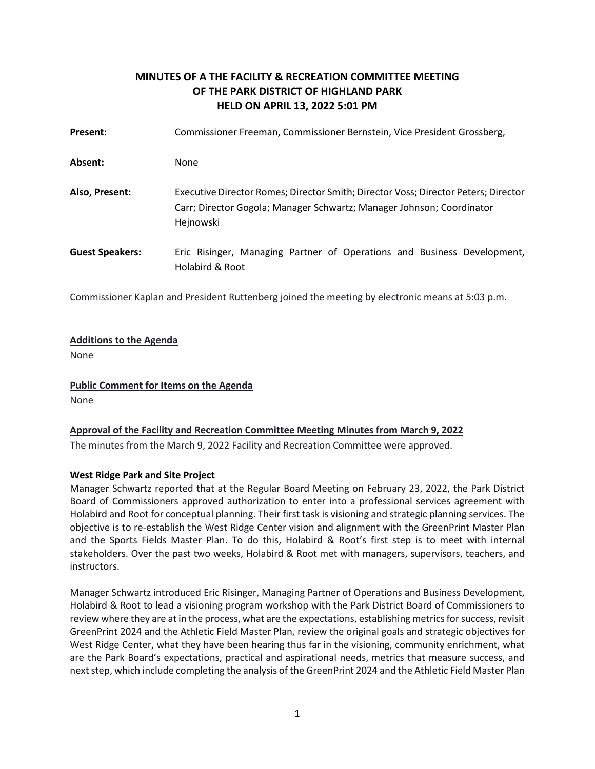# **MINUTES OF A THE FACILITY & RECREATION COMMITTEE MEETING OF THE PARK DISTRICT OF HIGHLAND PARK HELD ON APRIL 13, 2022 5:01 PM**

| Present:               | Commissioner Freeman, Commissioner Bernstein, Vice President Grossberg,                                                                                                  |
|------------------------|--------------------------------------------------------------------------------------------------------------------------------------------------------------------------|
| Absent:                | None                                                                                                                                                                     |
| Also, Present:         | Executive Director Romes; Director Smith; Director Voss; Director Peters; Director<br>Carr; Director Gogola; Manager Schwartz; Manager Johnson; Coordinator<br>Hejnowski |
| <b>Guest Speakers:</b> | Eric Risinger, Managing Partner of Operations and Business Development,<br>Holabird & Root                                                                               |

Commissioner Kaplan and President Ruttenberg joined the meeting by electronic means at 5:03 p.m.

### **Additions to the Agenda**

None

**Public Comment for Items on the Agenda**  None

## **Approval of the Facility and Recreation Committee Meeting Minutes from March 9, 2022**

The minutes from the March 9, 2022 Facility and Recreation Committee were approved.

## **West Ridge Park and Site Project**

Manager Schwartz reported that at the Regular Board Meeting on February 23, 2022, the Park District Board of Commissioners approved authorization to enter into a professional services agreement with Holabird and Root for conceptual planning. Their first task is visioning and strategic planning services. The objective is to re-establish the West Ridge Center vision and alignment with the GreenPrint Master Plan and the Sports Fields Master Plan. To do this, Holabird & Root's first step is to meet with internal stakeholders. Over the past two weeks, Holabird & Root met with managers, supervisors, teachers, and instructors.

Manager Schwartz introduced Eric Risinger, Managing Partner of Operations and Business Development, Holabird & Root to lead a visioning program workshop with the Park District Board of Commissioners to review where they are at in the process, what are the expectations, establishing metrics for success, revisit GreenPrint 2024 and the Athletic Field Master Plan, review the original goals and strategic objectives for West Ridge Center, what they have been hearing thus far in the visioning, community enrichment, what are the Park Board's expectations, practical and aspirational needs, metrics that measure success, and next step, which include completing the analysis of the GreenPrint 2024 and the Athletic Field Master Plan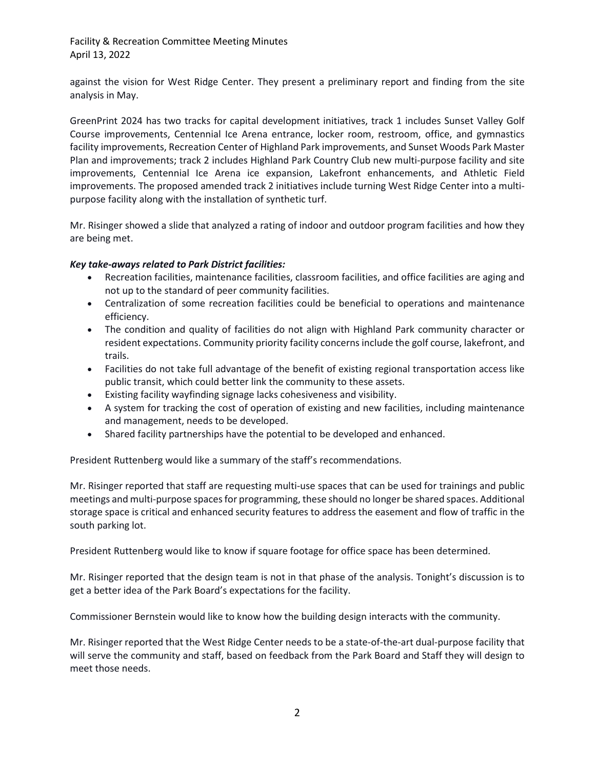Facility & Recreation Committee Meeting Minutes April 13, 2022

against the vision for West Ridge Center. They present a preliminary report and finding from the site analysis in May.

GreenPrint 2024 has two tracks for capital development initiatives, track 1 includes Sunset Valley Golf Course improvements, Centennial Ice Arena entrance, locker room, restroom, office, and gymnastics facility improvements, Recreation Center of Highland Park improvements, and Sunset Woods Park Master Plan and improvements; track 2 includes Highland Park Country Club new multi-purpose facility and site improvements, Centennial Ice Arena ice expansion, Lakefront enhancements, and Athletic Field improvements. The proposed amended track 2 initiatives include turning West Ridge Center into a multipurpose facility along with the installation of synthetic turf.

Mr. Risinger showed a slide that analyzed a rating of indoor and outdoor program facilities and how they are being met.

## *Key take-aways related to Park District facilities:*

- Recreation facilities, maintenance facilities, classroom facilities, and office facilities are aging and not up to the standard of peer community facilities.
- Centralization of some recreation facilities could be beneficial to operations and maintenance efficiency.
- The condition and quality of facilities do not align with Highland Park community character or resident expectations. Community priority facility concerns include the golf course, lakefront, and trails.
- Facilities do not take full advantage of the benefit of existing regional transportation access like public transit, which could better link the community to these assets.
- Existing facility wayfinding signage lacks cohesiveness and visibility.
- A system for tracking the cost of operation of existing and new facilities, including maintenance and management, needs to be developed.
- Shared facility partnerships have the potential to be developed and enhanced.

President Ruttenberg would like a summary of the staff's recommendations.

Mr. Risinger reported that staff are requesting multi-use spaces that can be used for trainings and public meetings and multi-purpose spaces for programming, these should no longer be shared spaces. Additional storage space is critical and enhanced security features to address the easement and flow of traffic in the south parking lot.

President Ruttenberg would like to know if square footage for office space has been determined.

Mr. Risinger reported that the design team is not in that phase of the analysis. Tonight's discussion is to get a better idea of the Park Board's expectations for the facility.

Commissioner Bernstein would like to know how the building design interacts with the community.

Mr. Risinger reported that the West Ridge Center needs to be a state-of-the-art dual-purpose facility that will serve the community and staff, based on feedback from the Park Board and Staff they will design to meet those needs.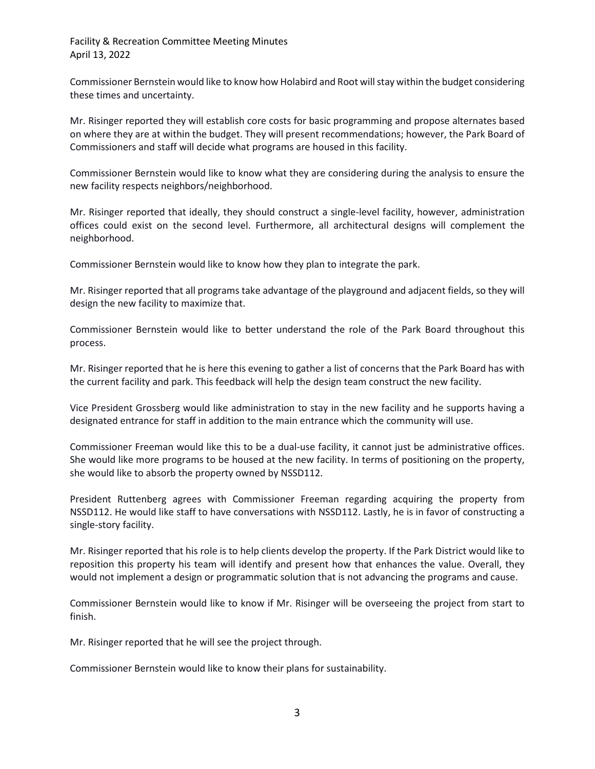Facility & Recreation Committee Meeting Minutes April 13, 2022

Commissioner Bernstein would like to know how Holabird and Root will stay within the budget considering these times and uncertainty.

Mr. Risinger reported they will establish core costs for basic programming and propose alternates based on where they are at within the budget. They will present recommendations; however, the Park Board of Commissioners and staff will decide what programs are housed in this facility.

Commissioner Bernstein would like to know what they are considering during the analysis to ensure the new facility respects neighbors/neighborhood.

Mr. Risinger reported that ideally, they should construct a single-level facility, however, administration offices could exist on the second level. Furthermore, all architectural designs will complement the neighborhood.

Commissioner Bernstein would like to know how they plan to integrate the park.

Mr. Risinger reported that all programs take advantage of the playground and adjacent fields, so they will design the new facility to maximize that.

Commissioner Bernstein would like to better understand the role of the Park Board throughout this process.

Mr. Risinger reported that he is here this evening to gather a list of concerns that the Park Board has with the current facility and park. This feedback will help the design team construct the new facility.

Vice President Grossberg would like administration to stay in the new facility and he supports having a designated entrance for staff in addition to the main entrance which the community will use.

Commissioner Freeman would like this to be a dual-use facility, it cannot just be administrative offices. She would like more programs to be housed at the new facility. In terms of positioning on the property, she would like to absorb the property owned by NSSD112.

President Ruttenberg agrees with Commissioner Freeman regarding acquiring the property from NSSD112. He would like staff to have conversations with NSSD112. Lastly, he is in favor of constructing a single-story facility.

Mr. Risinger reported that his role is to help clients develop the property. If the Park District would like to reposition this property his team will identify and present how that enhances the value. Overall, they would not implement a design or programmatic solution that is not advancing the programs and cause.

Commissioner Bernstein would like to know if Mr. Risinger will be overseeing the project from start to finish.

Mr. Risinger reported that he will see the project through.

Commissioner Bernstein would like to know their plans for sustainability.